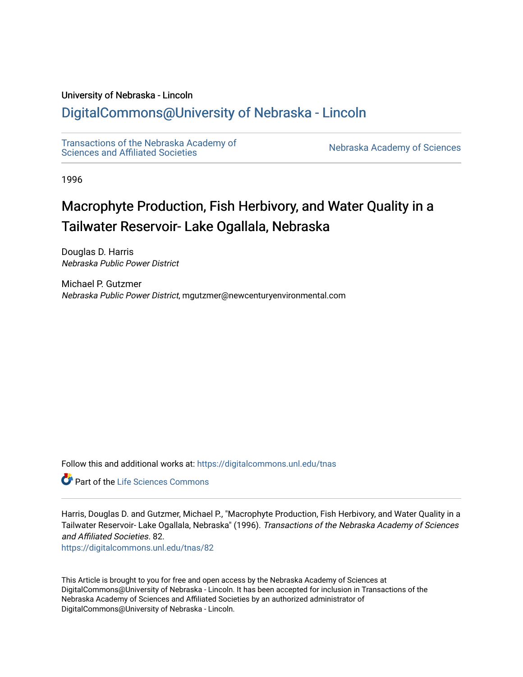# University of Nebraska - Lincoln

# [DigitalCommons@University of Nebraska - Lincoln](https://digitalcommons.unl.edu/)

[Transactions of the Nebraska Academy of](https://digitalcommons.unl.edu/tnas)  Transactions of the Nebraska Academy of Sciences<br>Sciences and Affiliated Societies

1996

# Macrophyte Production, Fish Herbivory, and Water Quality in a Tailwater Reservoir- Lake Ogallala, Nebraska

Douglas D. Harris Nebraska Public Power District

Michael P. Gutzmer Nebraska Public Power District, mgutzmer@newcenturyenvironmental.com

Follow this and additional works at: [https://digitalcommons.unl.edu/tnas](https://digitalcommons.unl.edu/tnas?utm_source=digitalcommons.unl.edu%2Ftnas%2F82&utm_medium=PDF&utm_campaign=PDFCoverPages) 

**C** Part of the Life Sciences Commons

Harris, Douglas D. and Gutzmer, Michael P., "Macrophyte Production, Fish Herbivory, and Water Quality in a Tailwater Reservoir- Lake Ogallala, Nebraska" (1996). Transactions of the Nebraska Academy of Sciences and Affiliated Societies. 82.

[https://digitalcommons.unl.edu/tnas/82](https://digitalcommons.unl.edu/tnas/82?utm_source=digitalcommons.unl.edu%2Ftnas%2F82&utm_medium=PDF&utm_campaign=PDFCoverPages)

This Article is brought to you for free and open access by the Nebraska Academy of Sciences at DigitalCommons@University of Nebraska - Lincoln. It has been accepted for inclusion in Transactions of the Nebraska Academy of Sciences and Affiliated Societies by an authorized administrator of DigitalCommons@University of Nebraska - Lincoln.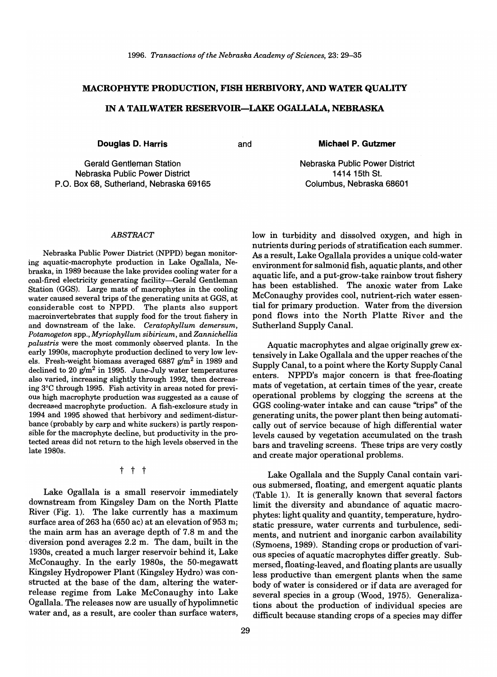### MACROPHYTE PRODUCTION, FISH HERBIVORY, AND WATER QUALITY

#### IN A TAILWATER RESERVOIR-LAKE OGALLALA, NEBRASKA

**Douglas D. Harris** and

Michael P. Gutzmer

Gerald Gentleman Station Nebraska Public Power District P.O. Box 68, Sutherland, Nebraska 69165

# Nebraska Public Power District 1414 15th St. Columbus, Nebraska 68601

low in turbidity and dissolved oxygen, and high in

#### *ABSTRACT*

Nebraska Public Power District (NPPD) began monitoring aquatic-macrophyte production in Lake Ogallala, Nebraska, in 1989 because the lake provides cooling water for a coal-fired electricity generating facility-Gerald Gentleman Station (GGS). Large mats of macrophytes in the cooling water caused several trips of the generating units at GGS, at considerable cost to NPPD. The plants also support macroinvertebrates that supply food for the trout fishery in and downstream of the lake. *Ceratophyllum demersum, Potamogeton* spp., *Myriophyllum sibiricum,* and *Zannichellia palustris* were the most commonly observed plants. In the early 1990s, macrophyte production declined to very low levels. Fresh-weight biomass averaged 6887  $g/m^2$  in 1989 and declined to 20  $g/m^2$  in 1995. June-July water temperatures also varied, increasing slightly through 1992, then decreasing 3°C through 1995. Fish activity in areas noted for previous high macrophyte production was suggested as a cause of decreased macrophyte production. A fish-exclosure study in 1994 and 1995 showed that herbivory and sediment-disturbance (probably by carp and white suckers) is partly responsible for the macrophyte decline, but productivity in the protected areas did not return to the high levels observed in the late 1980s.

t t t

Lake Ogallala is a small reservoir immediately downstream from Kingsley Dam on the North Platte River (Fig. 1). The lake currently has a maximum surface area of 263 ha (650 ac) at an elevation of 953 m; the main arm has an average depth of 7.8 m and the diversion pond averages 2.2 m. The dam, built in the 1930s, created a much larger reservoir behind it, Lake McConaughy. In the early 1980s, the 50-megawatt Kingsley Hydropower Plant (Kingsley Hydro) was constructed at the base of the dam, altering the waterrelease regime from Lake McConaughy into Lake Ogallala. The releases now are usually of hypolimnetic water and, as a result, are cooler than surface waters,

nutrients during periods of stratification each summer. As a result, Lake Ogallala provides a unique cold-water environment for salmonid fish, aquatic plants, and other aquatic life, and a put-grow-take rainbow trout fishery has been established. The anoxic water from Lake McConaughy provides cool, nutrient-rich water essential for primary production. Water from the diversion pond flows into the North Platte River and the Sutherland Supply Canal.

Aquatic macrophytes and algae originally grew extensively in Lake Ogallala and the upper reaches of the Supply Canal, to a point where the Korty Supply Canal enters. NPPD's major concern is that free-floating mats of vegetation, at certain times of the year, create operational problems by clogging the screens at the GGS cooling-water intake and can cause "trips" of the generating units, the power plant then being automatically out of service because of high differential water levels caused by vegetation accumulated on the trash bars and traveling screens. These trips are very costly and create major operational problems.

Lake Ogallala and the Supply Canal contain various submersed, floating, and emergent aquatic plants (Table 1). It is generally known that several factors limit the diversity and abundance of aquatic macrophytes: light quality and quantity, temperature, hydrostatic pressure, water currents and turbulence, sediments, and nutrient and inorganic carbon availability (Symoens, 1989). Standing crops or production of various species of aquatic macrophytes differ greatly. Submersed, floating-leaved, and floating plants are usually less productive than emergent plants when the same body of water is considered or if data are averaged for several species in a group (Wood, 1975). Generalizations about the production of individual species are difficult because standing crops of a species may differ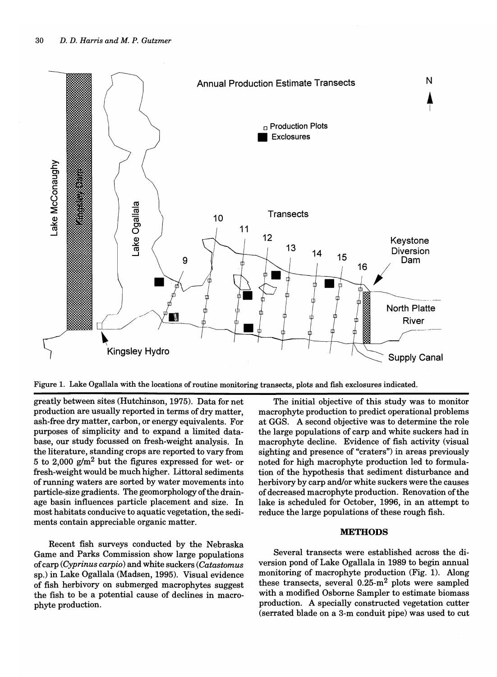

Figure 1. Lake Ogallala with the locations of routine monitoring transects, plots and fish exclosures indicated.

greatly between sites (Hutchinson, 1975). Data for net production are usually reported in terms of dry matter, ash-free dry matter, carbon, or energy equivalents. For purposes of simplicity and to expand a limited database, our study focussed on fresh-weight analysis. In the literature, standing crops are reported to vary from 5 to 2,000  $g/m^2$  but the figures expressed for wet- or fresh-weight would be much higher. Littoral sediments of running waters are sorted by water movements into particle-size gradients. The geomorphology of the drainage basin influences particle placement and size. In most habitats conducive to aquatic vegetation, the sediments contain appreciable organic matter.

Recent fish surveys conducted by the Nebraska Game and Parks Commission show large populations of carp (Cyprinus carpio) and white suckers (Catastomus sp.) in Lake Ogallala (Madsen, 1995). Visual evidence of fish herbivory on submerged macrophytes suggest the fish to be a potential cause of declines in macrophyte production.

The initial objective of this study was to monitor macrophyte production to predict operational problems at GGS. A second objective was to determine the role the large populations of carp and white suckers had in macrophyte decline. Evidence of fish activity (visual sighting and presence of "craters") in areas previously noted for high macrophyte production led to formulation of the hypothesis that sediment disturbance and herbivory by carp and/or white suckers were the causes of decreased macrophyte production. Renovation of the lake is scheduled for October, 1996, in an attempt to reduce the large populations of these rough fish.

#### **METHODS**

Several transects were established across the diversion pond of Lake Ogallala in 1989 to begin annual monitoring of macrophyte production (Fig. 1). Along these transects, several  $0.25 \text{--} m^2$  plots were sampled with a modified Osborne Sampler to estimate biomass production. A specially constructed vegetation cutter (serrated blade on a 3-m conduit pipe) was used to cut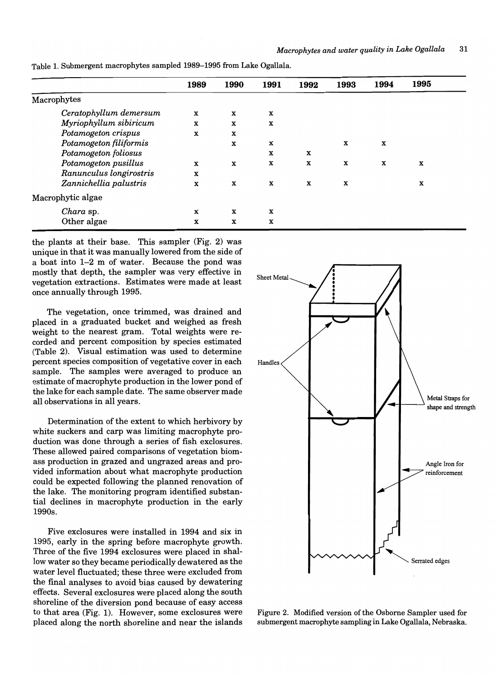|                         | 1989        | 1990        | 1991        | 1992        | 1993        | 1994 | 1995        |
|-------------------------|-------------|-------------|-------------|-------------|-------------|------|-------------|
| Macrophytes             |             |             |             |             |             |      |             |
| Ceratophyllum demersum  | $\mathbf x$ | X           | X           |             |             |      |             |
| Myriophyllum sibiricum  | $\mathbf x$ | X           | X           |             |             |      |             |
| Potamogeton crispus     | $\mathbf x$ | $\mathbf x$ |             |             |             |      |             |
| Potamogeton filiformis  |             | $\mathbf x$ | X           |             | X           | X    |             |
| Potamogeton foliosus    |             |             | X           | X           |             |      |             |
| Potamogeton pusillus    | $\mathbf x$ | $\mathbf x$ | $\mathbf x$ | $\mathbf x$ | $\mathbf x$ | X    | $\mathbf x$ |
| Ranunculus longirostris | $\mathbf x$ |             |             |             |             |      |             |
| Zannichellia palustris  | $\mathbf x$ | $\mathbf x$ | $\mathbf x$ | X           | X           |      | X           |
| Macrophytic algae       |             |             |             |             |             |      |             |
| Chara sp.               | $\mathbf x$ | X           | X           |             |             |      |             |
| Other algae             | X           | X           | X           |             |             |      |             |

Table 1. Submergent macrophytes sampled 1989-1995 from Lake Ogallala.

the plants at their base. This sampler (Fig. 2) was unique in that it was manually lowered from the side of a boat into 1-2 m of water. Because the pond was mostly that depth, the sampler was very effective in vegetation extractions. Estimates were made at least once annually through 1995.

The vegetation, once trimmed, was drained and placed in a graduated bucket and weighed as fresh weight to the nearest gram. Total weights were recorded and percent composition by species estimated (Table 2). Visual estimation was used to determine percent species composition of vegetative cover in each sample. The samples were averaged to produce an estimate of macrophyte production in the lower pond of the lake for each sample date. The same observer made all observations in all years.

Determination of the extent to which herbivory by white suckers and carp was limiting macrophyte production was done through a series of fish exclosures. These allowed paired comparisons of vegetation biomass production in grazed and ungrazed areas and provided information about what macrophyte production could be expected following the planned renovation of the lake. The monitoring program identified substantial declines in macrophyte production in the early 1990s.

Five exclosures were installed in 1994 and six in 1995, early in the spring before macrophyte growth. Three of the five 1994 exclosures were placed in shallow water so they became periodically dewatered as the water level fluctuated; these three were excluded from the final analyses to avoid bias caused by dewatering effects. Several exclosures were placed along the south shoreline of the diversion pond because of easy access to that area (Fig. 1). However, some exclosures were placed along the north shoreline and near the islands



Figure 2. Modified version of the Osborne Sampler used for submergent macrophyte sampling in Lake Ogallala, Nebraska.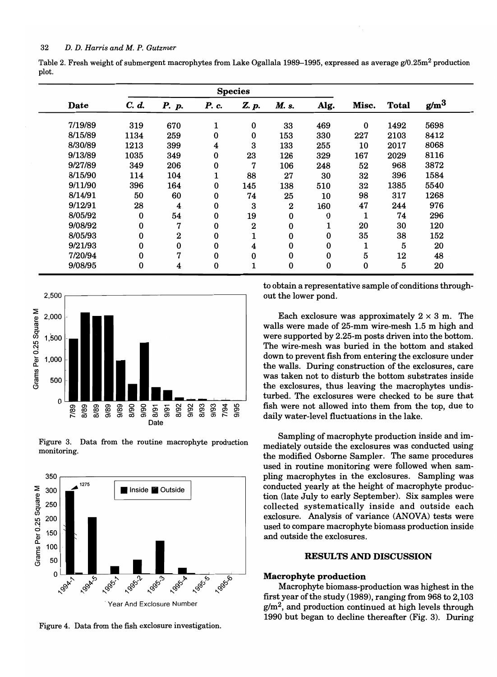|       | Table 2. Fresh weight of submergent macrophytes from Lake Ogallala 1989–1995, expressed as average g/0.25m <sup>2</sup> production |  |  |  |
|-------|------------------------------------------------------------------------------------------------------------------------------------|--|--|--|
| plot. |                                                                                                                                    |  |  |  |

|         | <b>Species</b> |          |          |                  |                  |        |          |              |                  |
|---------|----------------|----------|----------|------------------|------------------|--------|----------|--------------|------------------|
| Date    | C. d.          | P. p.    | P. c.    | Z. p.            | M. s.            | Alg.   | Misc.    | <b>Total</b> | g/m <sup>3</sup> |
| 7/19/89 | 319            | 670      | 1        | 0                | 33               | 469    | $\bf{0}$ | 1492         | 5698             |
| 8/15/89 | 1134           | 259      | 0        | 0                | 153              | 330    | 227      | 2103         | 8412             |
| 8/30/89 | 1213           | 399      | 4        | 3                | 133              | 255    | 10       | 2017         | 8068             |
| 9/13/89 | 1035           | 349      | 0        | 23               | 126              | 329    | 167      | 2029         | 8116             |
| 9/27/89 | 349            | 206      | 0        | 7                | 106              | 248    | 52       | 968          | 3872             |
| 8/15/90 | 114            | 104      | 1        | 88               | 27               | 30     | 32       | 396          | 1584             |
| 9/11/90 | 396            | 164      | $\bf{0}$ | 145              | 138              | 510    | 32       | 1385         | 5540             |
| 8/14/91 | 50             | 60       | $\bf{0}$ | 74               | 25               | 10     | 98       | 317          | 1268             |
| 9/12/91 | 28             | 4        | 0        | 3                | $\boldsymbol{2}$ | 160    | 47       | 244          | 976              |
| 8/05/92 | $\bf{0}$       | 54       | 0        | 19               | 0                | 0      | 1        | 74           | 296              |
| 9/08/92 | 0              | 7        | 0        | $\boldsymbol{2}$ | 0                | 1<br>T | 20       | 30           | 120              |
| 8/05/93 | 0              | 2        | 0        |                  | $\bf{0}$         | 0      | 35       | 38           | 152              |
| 9/21/93 | 0              | $\bf{0}$ | $\bf{0}$ | 4                | 0                | 0      | ┸        | 5            | 20               |
| 7/20/94 | 0              | 7        | 0        | 0                | 0                | 0      | 5        | 12           | 48               |
| 9/08/95 | 0              | 4        | $\bf{0}$ |                  | 0                | 0      | 0        | 5            | 20               |







Figure 4. Data from the fish exclosure investigation.

to obtain a representative sample of conditions throughout the lower pond.

Each exclosure was approximately  $2 \times 3$  m. The walls were made of 25-mm wire-mesh 1.5 m high and were supported by 2.25-m posts driven into the bottom. The wire-mesh was buried in the bottom and staked down to prevent fish from entering the exclosure under the walls. During construction of the exclosures, care was taken not to disturb the bottom substrates inside the exclosures, thus leaving the macrophytes undisturbed. The exclosures were checked to be sure that fish were not allowed into them from the top, due to daily water-level fluctuations in the lake.

Sampling of macrophyte production inside and immediately outside the exclosures was conducted using the modified Osborne Sampler. The same procedures used in routine monitoring were followed when sampling macrophytes in the exclosures. Sampling was conducted yearly at the height of macrophyte production (late July to early September). Six samples were collected systematically inside and outside each exclosure. Analysis of variance (ANOVA) tests were used to compare macrophyte biomass production inside and outside the exclosures.

#### RESULTS AND DISCUSSION

#### Macropbyte production

Macrophyte biomass-production was highest in the first year of the study (1989), ranging from 968 to 2,103  $g/m<sup>2</sup>$ , and production continued at high levels through 1990 but began to decline thereafter (Fig. 3). During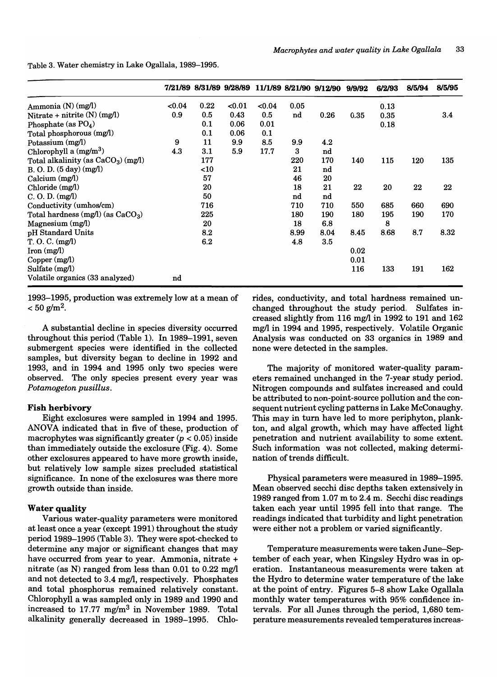Table 3. Water chemistry in Lake Ogallala, 1989-1995.

|                                             |      |        |        |       |      | 7/21/89 8/31/89 9/28/89 11/1/89 8/21/90 9/12/90 | 9/9/92 | 6/2/93 | 8/5/94 | 8/5/95 |
|---------------------------------------------|------|--------|--------|-------|------|-------------------------------------------------|--------|--------|--------|--------|
| Ammonia (N) (mg/l)                          | 0.04 | 0.22   | < 0.01 | <0.04 | 0.05 |                                                 |        | 0.13   |        |        |
| Nitrate + nitrite $(N)$ (mg/l)              | 0.9  | 0.5    | 0.43   | 0.5   | nd   | 0.26                                            | 0.35   | 0.35   |        | 3.4    |
| Phosphate (as $PO4$ )                       |      | 0.1    | 0.06   | 0.01  |      |                                                 |        | 0.18   |        |        |
| Total phosphorous (mg/l)                    |      | 0.1    | 0.06   | 0.1   |      |                                                 |        |        |        |        |
| Potassium (mg/l)                            | 9    | 11     | 9.9    | 8.5   | 9.9  | 4.2                                             |        |        |        |        |
| Chlorophyll a $(mg/m^3)$                    | 4.3  | 3.1    | 5.9    | 17.7  | 3    | nd                                              |        |        |        |        |
| Total alkalinity (as $CaCO3$ ) (mg/l)       |      | 177    |        |       | 220  | 170                                             | 140    | 115    | 120    | 135    |
| B. O. D. (5 day) (mg/l)                     |      | $<$ 10 |        |       | 21   | nd                                              |        |        |        |        |
| Calcium (mg/l)                              |      | 57     |        |       | 46   | 20                                              |        |        |        |        |
| Chloride (mg/l)                             |      | 20     |        |       | 18   | 21                                              | 22     | 20     | 22     | 22     |
| C. O. D. (mg/l)                             |      | 50     |        |       | nd   | nd                                              |        |        |        |        |
| Conductivity (umhos/cm)                     |      | 716    |        |       | 710  | 710                                             | 550    | 685    | 660    | 690    |
| Total hardness $(mg/l)$ (as $CaCO3$ )       |      | 225    |        |       | 180  | 190                                             | 180    | 195    | 190    | 170    |
| Magnesium $(mg/l)$                          |      | 20     |        |       | 18   | 6.8                                             |        | 8      |        |        |
| pH Standard Units                           |      | 8.2    |        |       | 8.99 | 8.04                                            | 8.45   | 8.68   | 8.7    | 8.32   |
| T. O. C. (mg/l)                             |      | 6.2    |        |       | 4.8  | 3.5                                             |        |        |        |        |
| $\lceil \text{ron} \, (\text{mg/l}) \rceil$ |      |        |        |       |      |                                                 | 0.02   |        |        |        |
| Copper (mg/l)                               |      |        |        |       |      |                                                 | 0.01   |        |        |        |
| Sulfate (mg/l)                              |      |        |        |       |      |                                                 | 116    | 133    | 191    | 162    |
| Volatile organics (33 analyzed)             | nd   |        |        |       |      |                                                 |        |        |        |        |

1993-1995, production was extremely low at a mean of  $< 50$  g/m<sup>2</sup>.

A substantial decline in species diversity occurred throughout this period (Table 1). In 1989-1991, seven submergent species were identified in the collected samples, but diversity began to decline in 1992 and 1993, and in 1994 and 1995 only two species were observed. The only species present every year was *Potamogeton pusillus.* 

#### Fish herbivory

Eight exclosures were sampled in 1994 and 1995. ANOVA indicated that in five of these, production of macrophytes was significantly greater *(p* < 0.05) inside than immediately outside the exclosure (Fig. 4). Some other exclosures appeared to have more growth inside, but relatively low sample sizes precluded statistical significance. In none of the exclosures was there more growth outside than inside.

#### Water quality

Various water-quality parameters were monitored at least once a year (except 1991) throughout the study period 1989-1995 (Table 3). They were spot-checked to determine any major or significant changes that may have occurred from year to year. Ammonia, nitrate + nitrate (as N) ranged from less than 0.01 to 0.22 mg/l and not detected to 3.4 mg/l, respectively. Phosphates and total phosphorus remained relatively constant. Chlorophyll a was sampled only in 1989 and 1990 and increased to 17.77 mg/m3 in November 1989. Total alkalinity generally decreased in 1989-1995. Chlorides, conductivity, and total hardness remained unchanged throughout the study period. Sulfates increased slightly from 116 mg/l in 1992 to 191 and 162 mg/l in 1994 and 1995, respectively. Volatile Organic Analysis was conducted on 33 organics in 1989 and none were detected in the samples.

The majority of monitored water-quality parameters remained unchanged in the 7-year study period. Nitrogen compounds and sulfates increased and could be attributed to non-point-source pollution and the consequent nutrient cycling patterns in Lake McConaughy. This may in turn have led to more periphyton, plankton, and algal growth, which may have affected light penetration and nutrient availability to some extent. Such information was not collected, making determination of trends difficult.

Physical parameters were measured in 1989-1995. Mean observed secchi disc depths taken extensively in 1989 ranged from 1.07 m to 2.4 m. Secchi disc readings taken each year until 1995 fell into that range. The readings indicated that turbidity and light penetration were either not a problem or varied significantly.

Temperature measurements were taken June-September of each year, when Kingsley Hydro was in operation. Instantaneous measurements were taken at the Hydro to determine water temperature of the lake at the point of entry. Figures 5-8 show Lake Ogallala monthly water temperatures with 95% confidence intervals. For all Junes through the period, 1,680 temperature measurements revealed temperatures increas-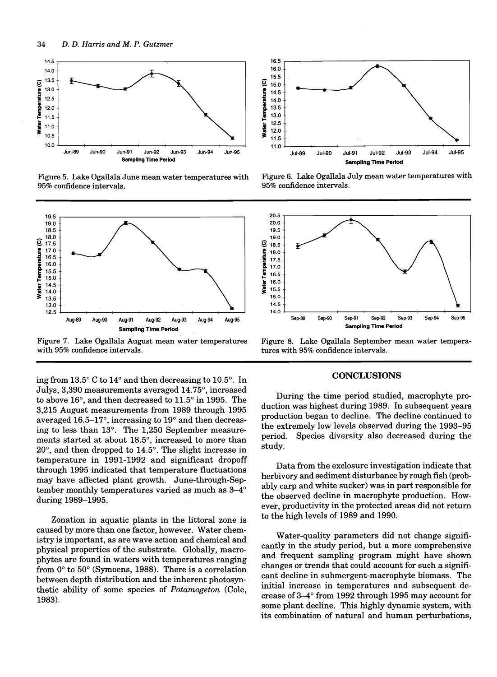

Figure 5. Lake Ogallala June mean water temperatures with 95% confidence intervals.



Figure 7. Lake Ogallala August mean water temperatures with 95% confidence intervals.

ingfrom 13.5° C to 14° and then decreasing to 10.5°. In Julys, 3,390 measurements averaged 14.75°, increased to above 16°, and then decreased to 11.5° in 1995. The 3,215 August measurements from 1989 through 1995 averaged 16.5-17°, increasing to 19° and then decreasing to less than 13°. The 1,250 September measurements started at about 18.5°, increased to more than 20°, and then dropped to 14.5°. The slight increase in temperature in 1991-1992 and significant dropoff through 1995 indicated that temperature fluctuations may· have affected plant growth. June-through-September monthly temperatures varied as much as 3-4° during 1989-1995.

Zonation in aquatic plants in the littoral zone is caused by more than one factor, however. Water chemistry is important, as are wave action and chemical and physical properties of the substrate. Globally, macrophytes are found in waters with temperatures ranging from 0° to 50° (Symoens, 1988). There is a correlation between depth distribution and the inherent photosynthetic ability of some species of *Potamogeton* (Cole, 1983).



Figure 6. Lake Ogallala July mean water temperatures with 95% confidence intervals.



Figure 8. Lake Ogallala September mean water temperatures with 95% confidence intervals.

#### **CONCLUSIONS**

During the time period studied, macrophyte production was highest during 1989. In subsequent years production began to decline. The decline continued to the extremely low levels observed during the 1993-95 period. Species diversity also decreased during the study.

Data from the exclosure investigation indicate that herbivory and sediment disturbance by rough fish (probably carp and white sucker) was in part responsible for the observed decline in macrophyte production. However, productivity in the protected areas did not return to the high levels of 1989 and 1990.

Water-quality parameters did not change significantly in the study period, but a more comprehensive and frequent sampling program might have shown changes or trends that could account for such a significant decline in submergent-macrophyte biomass. The initial increase in temperatures and subsequent decrease of 3-4° from 1992 through 1995 may account for some plant decline. This highly dynamic system, with its combination of natural and human perturbations,